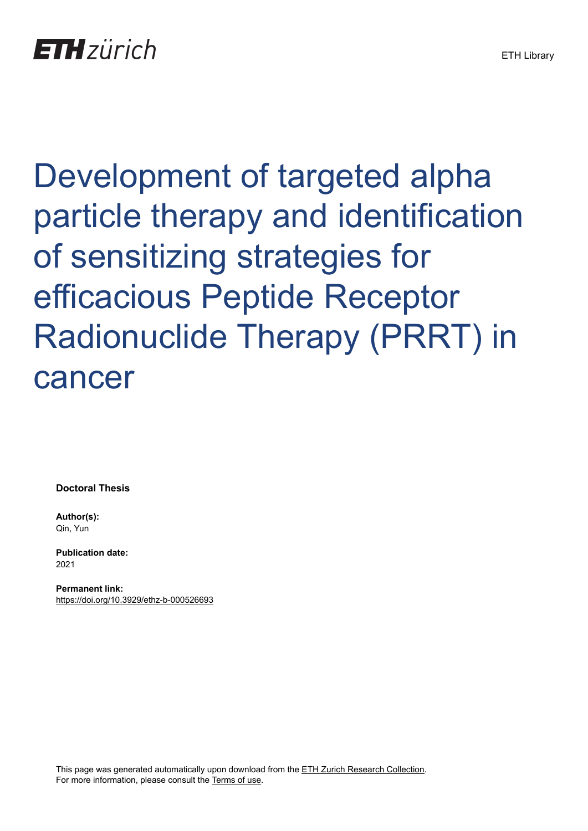Development of targeted alpha particle therapy and identification of sensitizing strategies for efficacious Peptide Receptor Radionuclide Therapy (PRRT) in cancer

**Doctoral Thesis**

**Author(s):** Qin, Yun

**Publication date:** 2021

**Permanent link:** <https://doi.org/10.3929/ethz-b-000526693>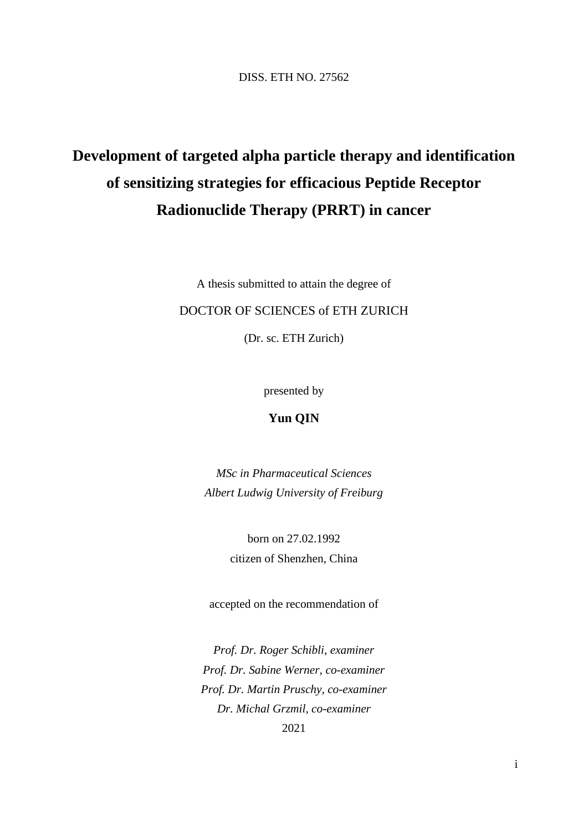DISS. ETH NO. 27562

# **Development of targeted alpha particle therapy and identification of sensitizing strategies for efficacious Peptide Receptor Radionuclide Therapy (PRRT) in cancer**

A thesis submitted to attain the degree of

#### DOCTOR OF SCIENCES of ETH ZURICH

(Dr. sc. ETH Zurich)

presented by

## **Yun QIN**

*MSc in Pharmaceutical Sciences Albert Ludwig University of Freiburg*

> born on 27.02.1992 citizen of Shenzhen, China

accepted on the recommendation of

*Prof. Dr. Roger Schibli, examiner Prof. Dr. Sabine Werner, co-examiner Prof. Dr. Martin Pruschy, co-examiner Dr. Michal Grzmil, co-examiner* 2021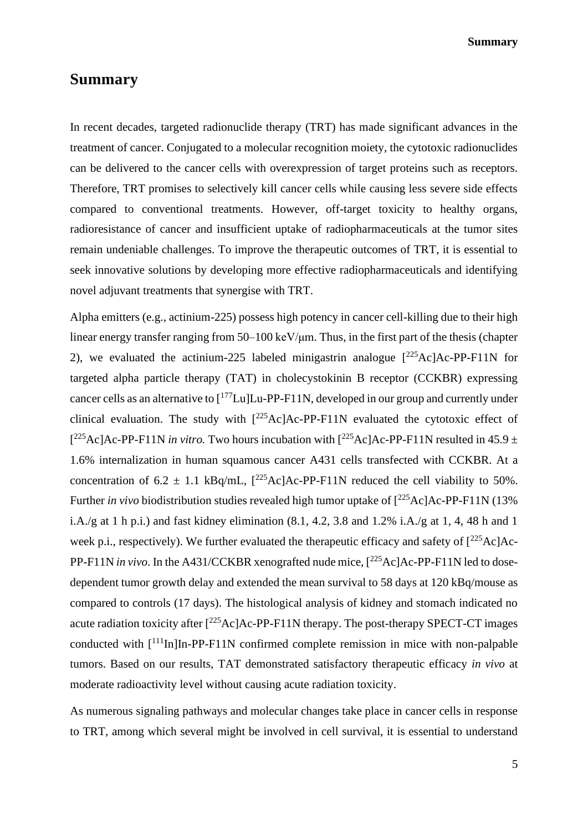**Summary**

## **Summary**

In recent decades, targeted radionuclide therapy (TRT) has made significant advances in the treatment of cancer. Conjugated to a molecular recognition moiety, the cytotoxic radionuclides can be delivered to the cancer cells with overexpression of target proteins such as receptors. Therefore, TRT promises to selectively kill cancer cells while causing less severe side effects compared to conventional treatments. However, off-target toxicity to healthy organs, radioresistance of cancer and insufficient uptake of radiopharmaceuticals at the tumor sites remain undeniable challenges. To improve the therapeutic outcomes of TRT, it is essential to seek innovative solutions by developing more effective radiopharmaceuticals and identifying novel adjuvant treatments that synergise with TRT.

Alpha emitters (e.g., actinium-225) possess high potency in cancer cell-killing due to their high linear energy transfer ranging from 50–100 keV/μm. Thus, in the first part of the thesis (chapter 2), we evaluated the actinium-225 labeled minigastrin analogue  $\int^{225}$ Ac]Ac-PP-F11N for targeted alpha particle therapy (TAT) in cholecystokinin B receptor (CCKBR) expressing cancer cells as an alternative to  $\lceil^{177}$ Lu]Lu-PP-F11N, developed in our group and currently under clinical evaluation. The study with  $[^{225}Ac]Ac-PP-F11N$  evaluated the cytotoxic effect of  $[{}^{225}$ Ac]Ac-PP-F11N *in vitro*. Two hours incubation with  $[{}^{225}$ Ac]Ac-PP-F11N resulted in 45.9  $\pm$ 1.6% internalization in human squamous cancer A431 cells transfected with CCKBR. At a concentration of  $6.2 \pm 1.1$  kBq/mL,  $[^{225}$ Ac]Ac-PP-F11N reduced the cell viability to 50%. Further *in vivo* biodistribution studies revealed high tumor uptake of  $[^{225}Ac]Ac-PP-F11N$  (13%) i.A./g at 1 h p.i.) and fast kidney elimination  $(8.1, 4.2, 3.8 \text{ and } 1.2\% \text{ i.A.}/g \text{ at } 1, 4, 48 \text{ h and } 1$ week p.i., respectively). We further evaluated the therapeutic efficacy and safety of  $[^{225}Ac]Ac$ -PP-F11N *in vivo*. In the A431/CCKBR xenografted nude mice,  $[^{225}Ac]Ac$ -PP-F11N led to dosedependent tumor growth delay and extended the mean survival to 58 days at 120 kBq/mouse as compared to controls (17 days). The histological analysis of kidney and stomach indicated no acute radiation toxicity after  $[{}^{225}$ AclAc-PP-F11N therapy. The post-therapy SPECT-CT images conducted with  $[111]$ In]In-PP-F11N confirmed complete remission in mice with non-palpable tumors. Based on our results, TAT demonstrated satisfactory therapeutic efficacy *in vivo* at moderate radioactivity level without causing acute radiation toxicity.

As numerous signaling pathways and molecular changes take place in cancer cells in response to TRT, among which several might be involved in cell survival, it is essential to understand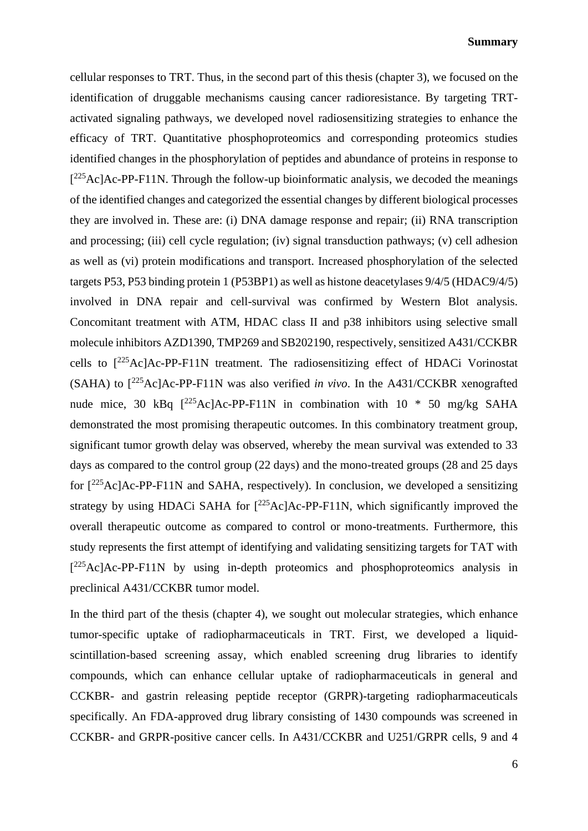#### **Summary**

cellular responses to TRT. Thus, in the second part of this thesis (chapter 3), we focused on the identification of druggable mechanisms causing cancer radioresistance. By targeting TRTactivated signaling pathways, we developed novel radiosensitizing strategies to enhance the efficacy of TRT. Quantitative phosphoproteomics and corresponding proteomics studies identified changes in the phosphorylation of peptides and abundance of proteins in response to  $[{}^{225}Ac]Ac-PP-F11N$ . Through the follow-up bioinformatic analysis, we decoded the meanings of the identified changes and categorized the essential changes by different biological processes they are involved in. These are: (i) DNA damage response and repair; (ii) RNA transcription and processing; (iii) cell cycle regulation; (iv) signal transduction pathways; (v) cell adhesion as well as (vi) protein modifications and transport. Increased phosphorylation of the selected targets P53, P53 binding protein 1 (P53BP1) as well as histone deacetylases 9/4/5 (HDAC9/4/5) involved in DNA repair and cell-survival was confirmed by Western Blot analysis. Concomitant treatment with ATM, HDAC class II and p38 inhibitors using selective small molecule inhibitors AZD1390, TMP269 and SB202190, respectively, sensitized A431/CCKBR cells to [<sup>225</sup>Ac]Ac-PP-F11N treatment. The radiosensitizing effect of HDACi Vorinostat (SAHA) to [<sup>225</sup>Ac]Ac-PP-F11N was also verified *in vivo*. In the A431/CCKBR xenografted nude mice, 30 kBq  $[^{225}Ac]Ac-PP-F11N$  in combination with 10  $*$  50 mg/kg SAHA demonstrated the most promising therapeutic outcomes. In this combinatory treatment group, significant tumor growth delay was observed, whereby the mean survival was extended to 33 days as compared to the control group (22 days) and the mono-treated groups (28 and 25 days for  $[^{225}$ Ac]Ac-PP-F11N and SAHA, respectively). In conclusion, we developed a sensitizing strategy by using HDACi SAHA for  $[^{225}Ac]Ac-PP-F11N$ , which significantly improved the overall therapeutic outcome as compared to control or mono-treatments. Furthermore, this study represents the first attempt of identifying and validating sensitizing targets for TAT with [<sup>225</sup>Ac]Ac-PP-F11N by using in-depth proteomics and phosphoproteomics analysis in preclinical A431/CCKBR tumor model.

In the third part of the thesis (chapter 4), we sought out molecular strategies, which enhance tumor-specific uptake of radiopharmaceuticals in TRT. First, we developed a liquidscintillation-based screening assay, which enabled screening drug libraries to identify compounds, which can enhance cellular uptake of radiopharmaceuticals in general and CCKBR- and gastrin releasing peptide receptor (GRPR)-targeting radiopharmaceuticals specifically. An FDA-approved drug library consisting of 1430 compounds was screened in CCKBR- and GRPR-positive cancer cells. In A431/CCKBR and U251/GRPR cells, 9 and 4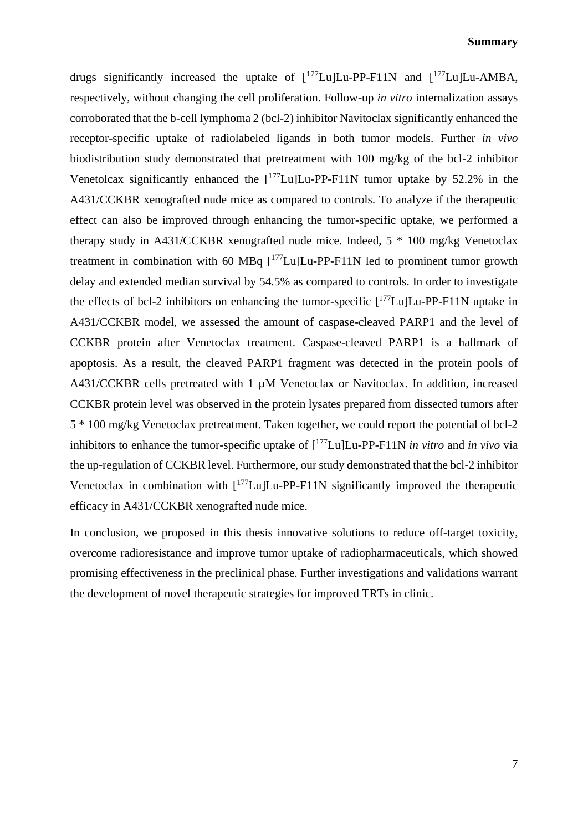#### **Summary**

drugs significantly increased the uptake of  $[^{177}$ Lu]Lu-PP-F11N and  $[^{177}$ Lu]Lu-AMBA, respectively, without changing the cell proliferation. Follow-up *in vitro* internalization assays corroborated that the b-cell lymphoma 2 (bcl-2) inhibitor Navitoclax significantly enhanced the receptor-specific uptake of radiolabeled ligands in both tumor models. Further *in vivo* biodistribution study demonstrated that pretreatment with 100 mg/kg of the bcl-2 inhibitor Venetolcax significantly enhanced the  $[177 \text{Lu}]$ Lu-PP-F11N tumor uptake by 52.2% in the A431/CCKBR xenografted nude mice as compared to controls. To analyze if the therapeutic effect can also be improved through enhancing the tumor-specific uptake, we performed a therapy study in A431/CCKBR xenografted nude mice. Indeed, 5 \* 100 mg/kg Venetoclax treatment in combination with 60 MBq  $[177$ Lu]Lu-PP-F11N led to prominent tumor growth delay and extended median survival by 54.5% as compared to controls. In order to investigate the effects of bcl-2 inhibitors on enhancing the tumor-specific  $[177$ Lu]Lu-PP-F11N uptake in A431/CCKBR model, we assessed the amount of caspase-cleaved PARP1 and the level of CCKBR protein after Venetoclax treatment. Caspase-cleaved PARP1 is a hallmark of apoptosis. As a result, the cleaved PARP1 fragment was detected in the protein pools of A431/CCKBR cells pretreated with 1  $\mu$ M Venetoclax or Navitoclax. In addition, increased CCKBR protein level was observed in the protein lysates prepared from dissected tumors after 5 \* 100 mg/kg Venetoclax pretreatment. Taken together, we could report the potential of bcl-2 inhibitors to enhance the tumor-specific uptake of [<sup>177</sup>Lu]Lu-PP-F11N *in vitro* and *in vivo* via the up-regulation of CCKBR level. Furthermore, our study demonstrated that the bcl-2 inhibitor Venetoclax in combination with  $\frac{177}{\text{Lul}}$ Lu-PP-F11N significantly improved the therapeutic efficacy in A431/CCKBR xenografted nude mice.

In conclusion, we proposed in this thesis innovative solutions to reduce off-target toxicity, overcome radioresistance and improve tumor uptake of radiopharmaceuticals, which showed promising effectiveness in the preclinical phase. Further investigations and validations warrant the development of novel therapeutic strategies for improved TRTs in clinic.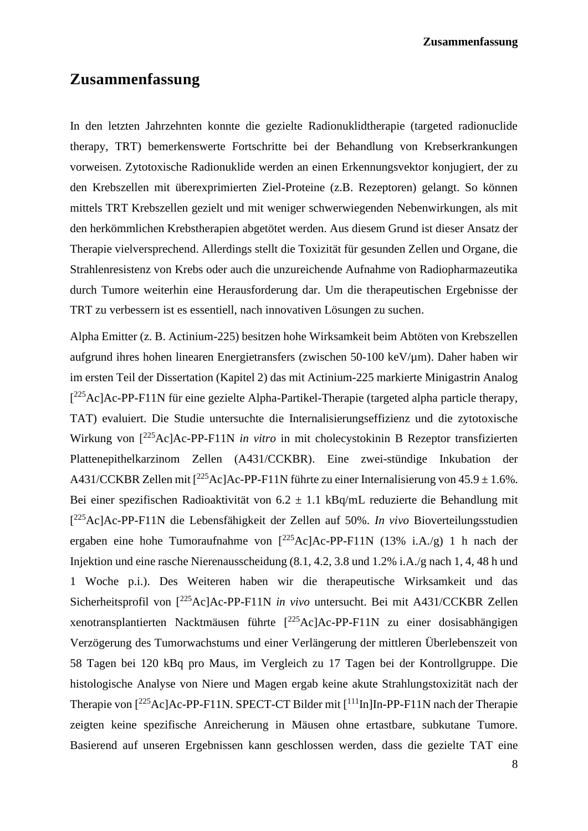**Zusammenfassung**

## **Zusammenfassung**

In den letzten Jahrzehnten konnte die gezielte Radionuklidtherapie (targeted radionuclide therapy, TRT) bemerkenswerte Fortschritte bei der Behandlung von Krebserkrankungen vorweisen. Zytotoxische Radionuklide werden an einen Erkennungsvektor konjugiert, der zu den Krebszellen mit überexprimierten Ziel-Proteine (z.B. Rezeptoren) gelangt. So können mittels TRT Krebszellen gezielt und mit weniger schwerwiegenden Nebenwirkungen, als mit den herkömmlichen Krebstherapien abgetötet werden. Aus diesem Grund ist dieser Ansatz der Therapie vielversprechend. Allerdings stellt die Toxizität für gesunden Zellen und Organe, die Strahlenresistenz von Krebs oder auch die unzureichende Aufnahme von Radiopharmazeutika durch Tumore weiterhin eine Herausforderung dar. Um die therapeutischen Ergebnisse der TRT zu verbessern ist es essentiell, nach innovativen Lösungen zu suchen.

Alpha Emitter (z. B. Actinium-225) besitzen hohe Wirksamkeit beim Abtöten von Krebszellen aufgrund ihres hohen linearen Energietransfers (zwischen 50-100 keV/µm). Daher haben wir im ersten Teil der Dissertation (Kapitel 2) das mit Actinium-225 markierte Minigastrin Analog [<sup>225</sup>Ac]Ac-PP-F11N für eine gezielte Alpha-Partikel-Therapie (targeted alpha particle therapy, TAT) evaluiert. Die Studie untersuchte die Internalisierungseffizienz und die zytotoxische Wirkung von [<sup>225</sup>Ac]Ac-PP-F11N *in vitro* in mit cholecystokinin B Rezeptor transfizierten Plattenepithelkarzinom Zellen (A431/CCKBR). Eine zwei-stündige Inkubation der A431/CCKBR Zellen mit  $\int^{225}$ Ac]Ac-PP-F11N führte zu einer Internalisierung von 45.9 ± 1.6%. Bei einer spezifischen Radioaktivität von  $6.2 \pm 1.1$  kBq/mL reduzierte die Behandlung mit [ <sup>225</sup>Ac]Ac-PP-F11N die Lebensfähigkeit der Zellen auf 50%. *In vivo* Bioverteilungsstudien ergaben eine hohe Tumoraufnahme von  $\int^{225}$ Ac]Ac-PP-F11N (13% i.A./g) 1 h nach der Injektion und eine rasche Nierenausscheidung (8.1, 4.2, 3.8 und 1.2% i.A./g nach 1, 4, 48 h und 1 Woche p.i.). Des Weiteren haben wir die therapeutische Wirksamkeit und das Sicherheitsprofil von [<sup>225</sup>Ac]Ac-PP-F11N *in vivo* untersucht. Bei mit A431/CCKBR Zellen xenotransplantierten Nacktmäusen führte  $\int^{225}$ Ac]Ac-PP-F11N zu einer dosisabhängigen Verzögerung des Tumorwachstums und einer Verlängerung der mittleren Überlebenszeit von 58 Tagen bei 120 kBq pro Maus, im Vergleich zu 17 Tagen bei der Kontrollgruppe. Die histologische Analyse von Niere und Magen ergab keine akute Strahlungstoxizität nach der Therapie von [<sup>225</sup>Ac]Ac-PP-F11N. SPECT-CT Bilder mit [<sup>111</sup>In]In-PP-F11N nach der Therapie zeigten keine spezifische Anreicherung in Mäusen ohne ertastbare, subkutane Tumore. Basierend auf unseren Ergebnissen kann geschlossen werden, dass die gezielte TAT eine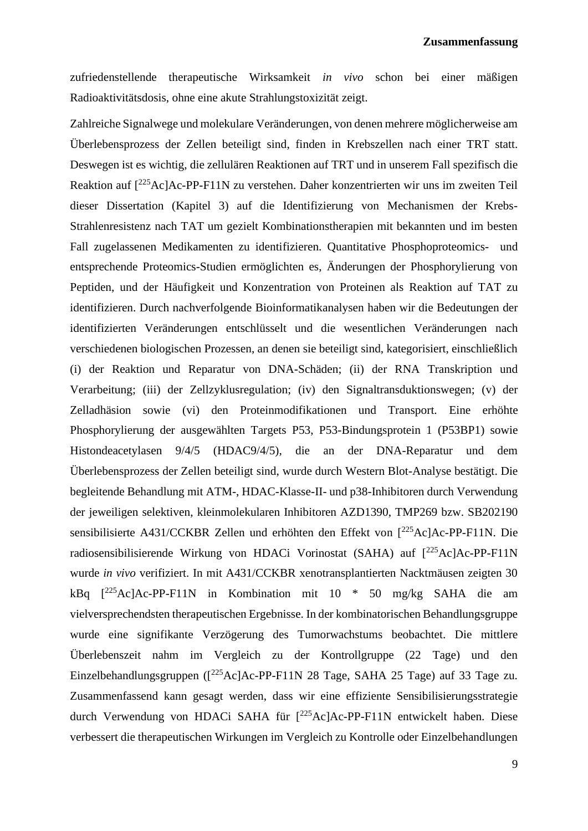zufriedenstellende therapeutische Wirksamkeit *in vivo* schon bei einer mäßigen Radioaktivitätsdosis, ohne eine akute Strahlungstoxizität zeigt.

Zahlreiche Signalwege und molekulare Veränderungen, von denen mehrere möglicherweise am Überlebensprozess der Zellen beteiligt sind, finden in Krebszellen nach einer TRT statt. Deswegen ist es wichtig, die zellulären Reaktionen auf TRT und in unserem Fall spezifisch die Reaktion auf [<sup>225</sup>Ac]Ac-PP-F11N zu verstehen. Daher konzentrierten wir uns im zweiten Teil dieser Dissertation (Kapitel 3) auf die Identifizierung von Mechanismen der Krebs-Strahlenresistenz nach TAT um gezielt Kombinationstherapien mit bekannten und im besten Fall zugelassenen Medikamenten zu identifizieren. Quantitative Phosphoproteomics- und entsprechende Proteomics-Studien ermöglichten es, Änderungen der Phosphorylierung von Peptiden, und der Häufigkeit und Konzentration von Proteinen als Reaktion auf TAT zu identifizieren. Durch nachverfolgende Bioinformatikanalysen haben wir die Bedeutungen der identifizierten Veränderungen entschlüsselt und die wesentlichen Veränderungen nach verschiedenen biologischen Prozessen, an denen sie beteiligt sind, kategorisiert, einschließlich (i) der Reaktion und Reparatur von DNA-Schäden; (ii) der RNA Transkription und Verarbeitung; (iii) der Zellzyklusregulation; (iv) den Signaltransduktionswegen; (v) der Zelladhäsion sowie (vi) den Proteinmodifikationen und Transport. Eine erhöhte Phosphorylierung der ausgewählten Targets P53, P53-Bindungsprotein 1 (P53BP1) sowie Histondeacetylasen 9/4/5 (HDAC9/4/5), die an der DNA-Reparatur und dem Überlebensprozess der Zellen beteiligt sind, wurde durch Western Blot-Analyse bestätigt. Die begleitende Behandlung mit ATM-, HDAC-Klasse-II- und p38-Inhibitoren durch Verwendung der jeweiligen selektiven, kleinmolekularen Inhibitoren AZD1390, TMP269 bzw. SB202190 sensibilisierte A431/CCKBR Zellen und erhöhten den Effekt von [<sup>225</sup>Ac]Ac-PP-F11N. Die radiosensibilisierende Wirkung von HDACi Vorinostat (SAHA) auf  $[^{225}Ac]Ac-PP-F11N$ wurde *in vivo* verifiziert. In mit A431/CCKBR xenotransplantierten Nacktmäusen zeigten 30 kBq [<sup>225</sup>Ac]Ac-PP-F11N in Kombination mit 10 \* 50 mg/kg SAHA die am vielversprechendsten therapeutischen Ergebnisse. In der kombinatorischen Behandlungsgruppe wurde eine signifikante Verzögerung des Tumorwachstums beobachtet. Die mittlere Überlebenszeit nahm im Vergleich zu der Kontrollgruppe (22 Tage) und den Einzelbehandlungsgruppen ( $\int^{225}$ AclAc-PP-F11N 28 Tage, SAHA 25 Tage) auf 33 Tage zu. Zusammenfassend kann gesagt werden, dass wir eine effiziente Sensibilisierungsstrategie durch Verwendung von HDACi SAHA für [<sup>225</sup>Ac]Ac-PP-F11N entwickelt haben. Diese verbessert die therapeutischen Wirkungen im Vergleich zu Kontrolle oder Einzelbehandlungen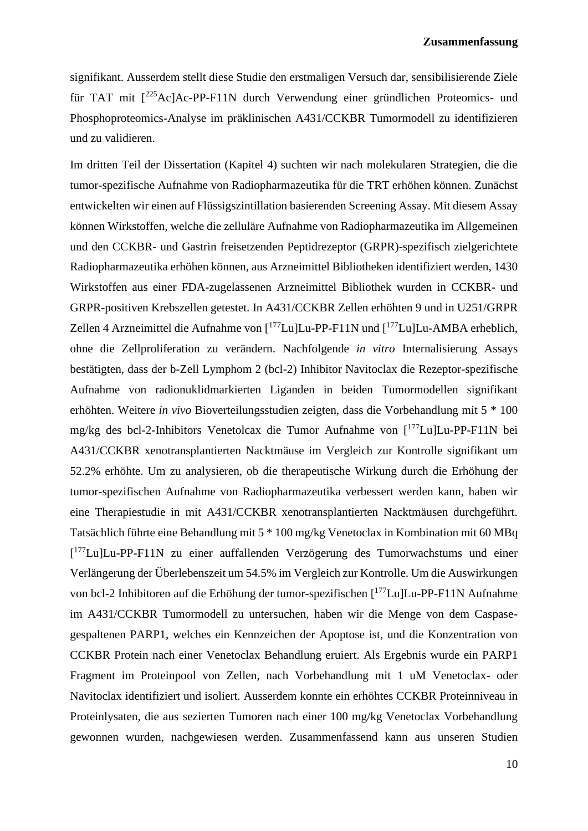signifikant. Ausserdem stellt diese Studie den erstmaligen Versuch dar, sensibilisierende Ziele für TAT mit [<sup>225</sup>Ac]Ac-PP-F11N durch Verwendung einer gründlichen Proteomics- und Phosphoproteomics-Analyse im präklinischen A431/CCKBR Tumormodell zu identifizieren und zu validieren.

Im dritten Teil der Dissertation (Kapitel 4) suchten wir nach molekularen Strategien, die die tumor-spezifische Aufnahme von Radiopharmazeutika für die TRT erhöhen können. Zunächst entwickelten wir einen auf Flüssigszintillation basierenden Screening Assay. Mit diesem Assay können Wirkstoffen, welche die zelluläre Aufnahme von Radiopharmazeutika im Allgemeinen und den CCKBR- und Gastrin freisetzenden Peptidrezeptor (GRPR)-spezifisch zielgerichtete Radiopharmazeutika erhöhen können, aus Arzneimittel Bibliotheken identifiziert werden, 1430 Wirkstoffen aus einer FDA-zugelassenen Arzneimittel Bibliothek wurden in CCKBR- und GRPR-positiven Krebszellen getestet. In A431/CCKBR Zellen erhöhten 9 und in U251/GRPR Zellen 4 Arzneimittel die Aufnahme von [<sup>177</sup>Lu]Lu-PP-F11N und [<sup>177</sup>Lu]Lu-AMBA erheblich, ohne die Zellproliferation zu verändern. Nachfolgende *in vitro* Internalisierung Assays bestätigten, dass der b-Zell Lymphom 2 (bcl-2) Inhibitor Navitoclax die Rezeptor-spezifische Aufnahme von radionuklidmarkierten Liganden in beiden Tumormodellen signifikant erhöhten. Weitere *in vivo* Bioverteilungsstudien zeigten, dass die Vorbehandlung mit 5 \* 100 mg/kg des bcl-2-Inhibitors Venetolcax die Tumor Aufnahme von [<sup>177</sup>Lu]Lu-PP-F11N bei A431/CCKBR xenotransplantierten Nacktmäuse im Vergleich zur Kontrolle signifikant um 52.2% erhöhte. Um zu analysieren, ob die therapeutische Wirkung durch die Erhöhung der tumor-spezifischen Aufnahme von Radiopharmazeutika verbessert werden kann, haben wir eine Therapiestudie in mit A431/CCKBR xenotransplantierten Nacktmäusen durchgeführt. Tatsächlich führte eine Behandlung mit 5 \* 100 mg/kg Venetoclax in Kombination mit 60 MBq [<sup>177</sup>Lu]Lu-PP-F11N zu einer auffallenden Verzögerung des Tumorwachstums und einer Verlängerung der Überlebenszeit um 54.5% im Vergleich zur Kontrolle. Um die Auswirkungen von bcl-2 Inhibitoren auf die Erhöhung der tumor-spezifischen [<sup>177</sup>Lu]Lu-PP-F11N Aufnahme im A431/CCKBR Tumormodell zu untersuchen, haben wir die Menge von dem Caspasegespaltenen PARP1, welches ein Kennzeichen der Apoptose ist, und die Konzentration von CCKBR Protein nach einer Venetoclax Behandlung eruiert. Als Ergebnis wurde ein PARP1 Fragment im Proteinpool von Zellen, nach Vorbehandlung mit 1 uM Venetoclax- oder Navitoclax identifiziert und isoliert. Ausserdem konnte ein erhöhtes CCKBR Proteinniveau in Proteinlysaten, die aus sezierten Tumoren nach einer 100 mg/kg Venetoclax Vorbehandlung gewonnen wurden, nachgewiesen werden. Zusammenfassend kann aus unseren Studien